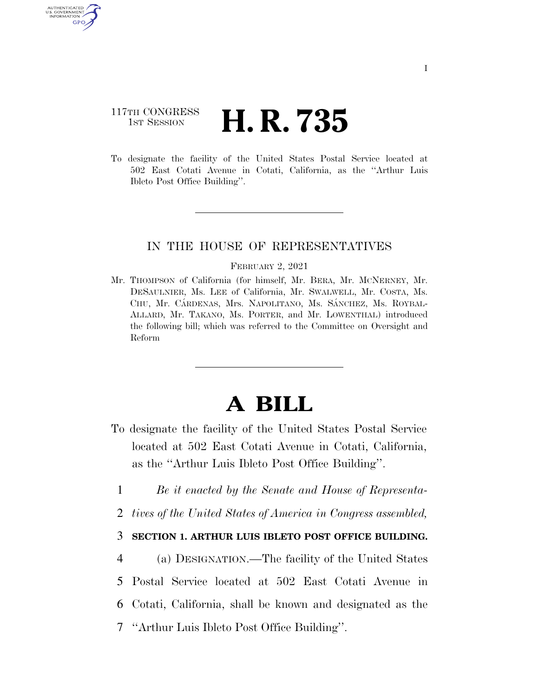# 117TH CONGRESS **1st Session H. R. 735**

U.S. GOVERNMENT GPO

> To designate the facility of the United States Postal Service located at 502 East Cotati Avenue in Cotati, California, as the ''Arthur Luis Ibleto Post Office Building''.

## IN THE HOUSE OF REPRESENTATIVES

#### FEBRUARY 2, 2021

Mr. THOMPSON of California (for himself, Mr. BERA, Mr. MCNERNEY, Mr. DESAULNIER, Ms. LEE of California, Mr. SWALWELL, Mr. COSTA, Ms. CHU, Mr. CÁRDENAS, Mrs. NAPOLITANO, Ms. SÁNCHEZ, Ms. ROYBAL-ALLARD, Mr. TAKANO, Ms. PORTER, and Mr. LOWENTHAL) introduced the following bill; which was referred to the Committee on Oversight and Reform

# **A BILL**

- To designate the facility of the United States Postal Service located at 502 East Cotati Avenue in Cotati, California, as the ''Arthur Luis Ibleto Post Office Building''.
	- 1 *Be it enacted by the Senate and House of Representa-*
- 2 *tives of the United States of America in Congress assembled,*

### 3 **SECTION 1. ARTHUR LUIS IBLETO POST OFFICE BUILDING.**

 (a) DESIGNATION.—The facility of the United States Postal Service located at 502 East Cotati Avenue in Cotati, California, shall be known and designated as the ''Arthur Luis Ibleto Post Office Building''.